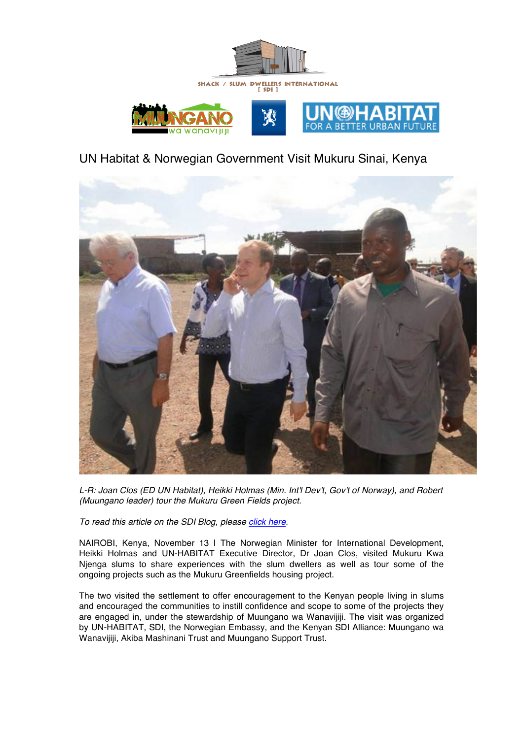

# UN Habitat & Norwegian Government Visit Mukuru Sinai, Kenya



*L-R: Joan Clos (ED UN Habitat), Heikki Holmas (Min. Int'l Dev't, Gov't of Norway), and Robert (Muungano leader) tour the Mukuru Green Fields project.*

*To read this article on the SDI Blog, please click here.*

NAIROBI, Kenya, November 13 | The Norwegian Minister for International Development, Heikki Holmas and UN-HABITAT Executive Director, Dr Joan Clos, visited Mukuru Kwa Njenga slums to share experiences with the slum dwellers as well as tour some of the ongoing projects such as the Mukuru Greenfields housing project.

The two visited the settlement to offer encouragement to the Kenyan people living in slums and encouraged the communities to instill confidence and scope to some of the projects they are engaged in, under the stewardship of Muungano wa Wanavijiji. The visit was organized by UN-HABITAT, SDI, the Norwegian Embassy, and the Kenyan SDI Alliance: Muungano wa Wanavijiji, Akiba Mashinani Trust and Muungano Support Trust.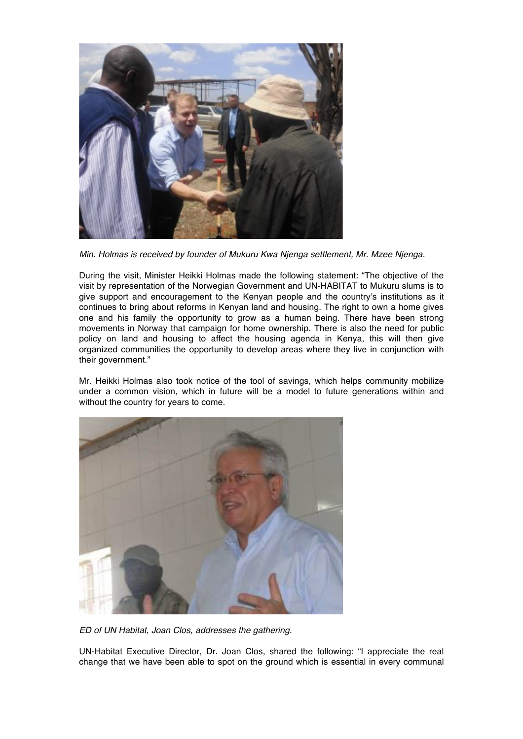

*Min. Holmas is received by founder of Mukuru Kwa Njenga settlement, Mr. Mzee Njenga.*

During the visit, Minister Heikki Holmas made the following statement: "The objective of the visit by representation of the Norwegian Government and UN-HABITAT to Mukuru slums is to give support and encouragement to the Kenyan people and the country's institutions as it continues to bring about reforms in Kenyan land and housing. The right to own a home gives one and his family the opportunity to grow as a human being. There have been strong movements in Norway that campaign for home ownership. There is also the need for public policy on land and housing to affect the housing agenda in Kenya, this will then give organized communities the opportunity to develop areas where they live in conjunction with their government."

Mr. Heikki Holmas also took notice of the tool of savings, which helps community mobilize under a common vision, which in future will be a model to future generations within and without the country for years to come.



*ED of UN Habitat, Joan Clos, addresses the gathering.*

UN-Habitat Executive Director, Dr. Joan Clos, shared the following: "I appreciate the real change that we have been able to spot on the ground which is essential in every communal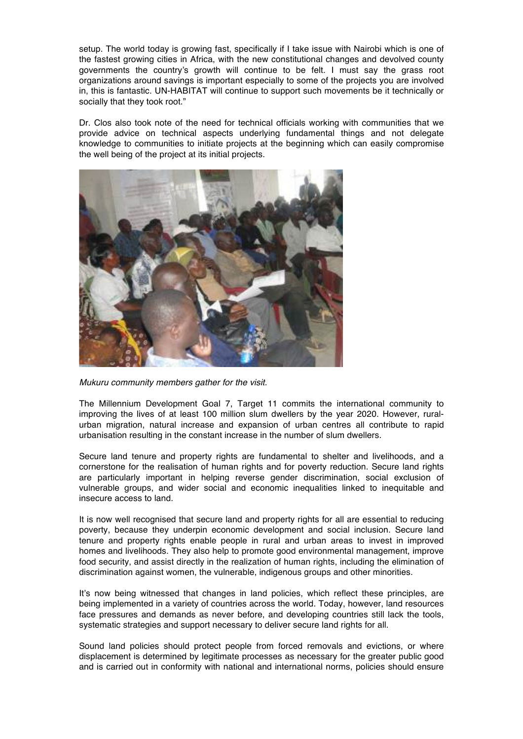setup. The world today is growing fast, specifically if I take issue with Nairobi which is one of the fastest growing cities in Africa, with the new constitutional changes and devolved county governments the country's growth will continue to be felt. I must say the grass root organizations around savings is important especially to some of the projects you are involved in, this is fantastic. UN-HABITAT will continue to support such movements be it technically or socially that they took root."

Dr. Clos also took note of the need for technical officials working with communities that we provide advice on technical aspects underlying fundamental things and not delegate knowledge to communities to initiate projects at the beginning which can easily compromise the well being of the project at its initial projects.



*Mukuru community members gather for the visit.*

The Millennium Development Goal 7, Target 11 commits the international community to improving the lives of at least 100 million slum dwellers by the year 2020. However, ruralurban migration, natural increase and expansion of urban centres all contribute to rapid urbanisation resulting in the constant increase in the number of slum dwellers.

Secure land tenure and property rights are fundamental to shelter and livelihoods, and a cornerstone for the realisation of human rights and for poverty reduction. Secure land rights are particularly important in helping reverse gender discrimination, social exclusion of vulnerable groups, and wider social and economic inequalities linked to inequitable and insecure access to land.

It is now well recognised that secure land and property rights for all are essential to reducing poverty, because they underpin economic development and social inclusion. Secure land tenure and property rights enable people in rural and urban areas to invest in improved homes and livelihoods. They also help to promote good environmental management, improve food security, and assist directly in the realization of human rights, including the elimination of discrimination against women, the vulnerable, indigenous groups and other minorities.

It's now being witnessed that changes in land policies, which reflect these principles, are being implemented in a variety of countries across the world. Today, however, land resources face pressures and demands as never before, and developing countries still lack the tools, systematic strategies and support necessary to deliver secure land rights for all.

Sound land policies should protect people from forced removals and evictions, or where displacement is determined by legitimate processes as necessary for the greater public good and is carried out in conformity with national and international norms, policies should ensure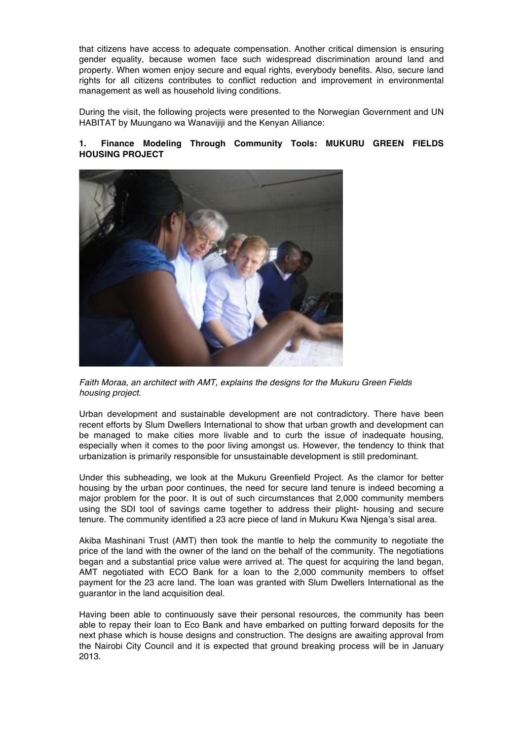that citizens have access to adequate compensation. Another critical dimension is ensuring gender equality, because women face such widespread discrimination around land and property. When women enjoy secure and equal rights, everybody benefits. Also, secure land rights for all citizens contributes to conflict reduction and improvement in environmental management as well as household living conditions.

During the visit, the following projects were presented to the Norwegian Government and UN HABITAT by Muungano wa Wanavijiji and the Kenyan Alliance:

## **1. Finance Modeling Through Community Tools: MUKURU GREEN FIELDS HOUSING PROJECT**



*Faith Moraa, an architect with AMT, explains the designs for the Mukuru Green Fields housing project.*

Urban development and sustainable development are not contradictory. There have been recent efforts by Slum Dwellers International to show that urban growth and development can be managed to make cities more livable and to curb the issue of inadequate housing, especially when it comes to the poor living amongst us. However, the tendency to think that urbanization is primarily responsible for unsustainable development is still predominant.

Under this subheading, we look at the Mukuru Greenfield Project. As the clamor for better housing by the urban poor continues, the need for secure land tenure is indeed becoming a major problem for the poor. It is out of such circumstances that 2,000 community members using the SDI tool of savings came together to address their plight- housing and secure tenure. The community identified a 23 acre piece of land in Mukuru Kwa Njenga's sisal area.

Akiba Mashinani Trust (AMT) then took the mantle to help the community to negotiate the price of the land with the owner of the land on the behalf of the community. The negotiations began and a substantial price value were arrived at. The quest for acquiring the land began, AMT negotiated with ECO Bank for a loan to the 2,000 community members to offset payment for the 23 acre land. The loan was granted with Slum Dwellers International as the guarantor in the land acquisition deal.

Having been able to continuously save their personal resources, the community has been able to repay their loan to Eco Bank and have embarked on putting forward deposits for the next phase which is house designs and construction. The designs are awaiting approval from the Nairobi City Council and it is expected that ground breaking process will be in January 2013.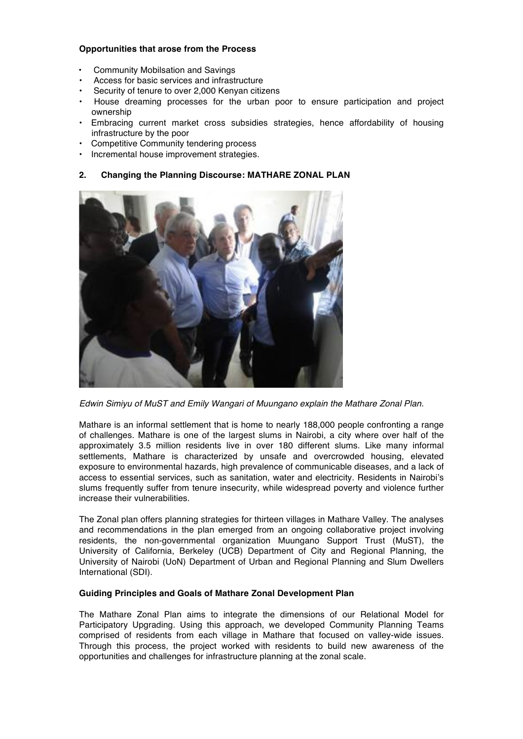### **Opportunities that arose from the Process**

- Community Mobilsation and Savings
- Access for basic services and infrastructure
- Security of tenure to over 2,000 Kenyan citizens
- House dreaming processes for the urban poor to ensure participation and project ownership
- Embracing current market cross subsidies strategies, hence affordability of housing infrastructure by the poor
- Competitive Community tendering process
- Incremental house improvement strategies.

#### **2. Changing the Planning Discourse: MATHARE ZONAL PLAN**



*Edwin Simiyu of MuST and Emily Wangari of Muungano explain the Mathare Zonal Plan.*

Mathare is an informal settlement that is home to nearly 188,000 people confronting a range of challenges. Mathare is one of the largest slums in Nairobi, a city where over half of the approximately 3.5 million residents live in over 180 different slums. Like many informal settlements, Mathare is characterized by unsafe and overcrowded housing, elevated exposure to environmental hazards, high prevalence of communicable diseases, and a lack of access to essential services, such as sanitation, water and electricity. Residents in Nairobi's slums frequently suffer from tenure insecurity, while widespread poverty and violence further increase their vulnerabilities.

The Zonal plan offers planning strategies for thirteen villages in Mathare Valley. The analyses and recommendations in the plan emerged from an ongoing collaborative project involving residents, the non-governmental organization Muungano Support Trust (MuST), the University of California, Berkeley (UCB) Department of City and Regional Planning, the University of Nairobi (UoN) Department of Urban and Regional Planning and Slum Dwellers International (SDI).

#### **Guiding Principles and Goals of Mathare Zonal Development Plan**

The Mathare Zonal Plan aims to integrate the dimensions of our Relational Model for Participatory Upgrading. Using this approach, we developed Community Planning Teams comprised of residents from each village in Mathare that focused on valley-wide issues. Through this process, the project worked with residents to build new awareness of the opportunities and challenges for infrastructure planning at the zonal scale.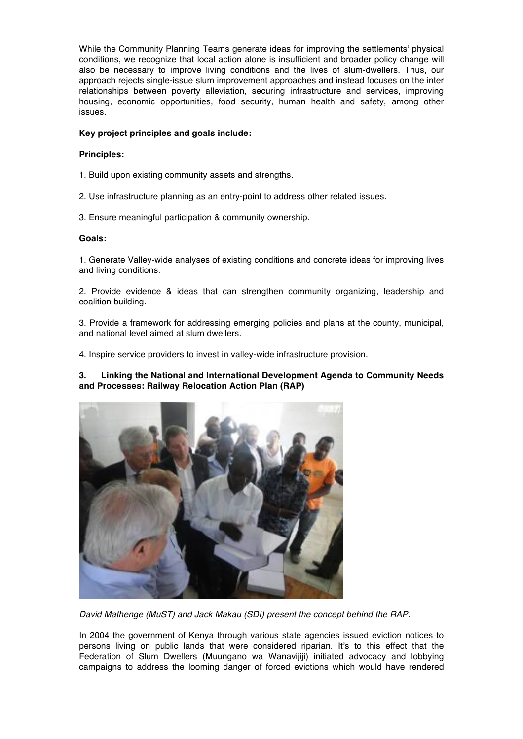While the Community Planning Teams generate ideas for improving the settlements' physical conditions, we recognize that local action alone is insufficient and broader policy change will also be necessary to improve living conditions and the lives of slum-dwellers. Thus, our approach rejects single-issue slum improvement approaches and instead focuses on the inter relationships between poverty alleviation, securing infrastructure and services, improving housing, economic opportunities, food security, human health and safety, among other issues.

# **Key project principles and goals include:**

#### **Principles:**

- 1. Build upon existing community assets and strengths.
- 2. Use infrastructure planning as an entry-point to address other related issues.
- 3. Ensure meaningful participation & community ownership.

#### **Goals:**

1. Generate Valley-wide analyses of existing conditions and concrete ideas for improving lives and living conditions.

2. Provide evidence & ideas that can strengthen community organizing, leadership and coalition building.

3. Provide a framework for addressing emerging policies and plans at the county, municipal, and national level aimed at slum dwellers.

4. Inspire service providers to invest in valley-wide infrastructure provision.

**3. Linking the National and International Development Agenda to Community Needs and Processes: Railway Relocation Action Plan (RAP)**



*David Mathenge (MuST) and Jack Makau (SDI) present the concept behind the RAP.*

In 2004 the government of Kenya through various state agencies issued eviction notices to persons living on public lands that were considered riparian. It's to this effect that the Federation of Slum Dwellers (Muungano wa Wanavijiji) initiated advocacy and lobbying campaigns to address the looming danger of forced evictions which would have rendered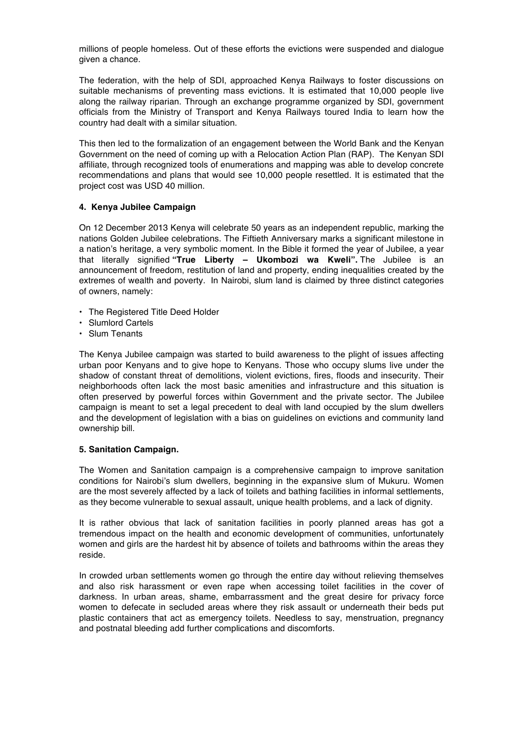millions of people homeless. Out of these efforts the evictions were suspended and dialogue given a chance.

The federation, with the help of SDI, approached Kenya Railways to foster discussions on suitable mechanisms of preventing mass evictions. It is estimated that 10,000 people live along the railway riparian. Through an exchange programme organized by SDI, government officials from the Ministry of Transport and Kenya Railways toured India to learn how the country had dealt with a similar situation.

This then led to the formalization of an engagement between the World Bank and the Kenyan Government on the need of coming up with a Relocation Action Plan (RAP). The Kenyan SDI affiliate, through recognized tools of enumerations and mapping was able to develop concrete recommendations and plans that would see 10,000 people resettled. It is estimated that the project cost was USD 40 million.

# **4. Kenya Jubilee Campaign**

On 12 December 2013 Kenya will celebrate 50 years as an independent republic, marking the nations Golden Jubilee celebrations. The Fiftieth Anniversary marks a significant milestone in a nation's heritage, a very symbolic moment. In the Bible it formed the year of Jubilee, a year that literally signified **"True Liberty – Ukombozi wa Kweli".** The Jubilee is an announcement of freedom, restitution of land and property, ending inequalities created by the extremes of wealth and poverty. In Nairobi, slum land is claimed by three distinct categories of owners, namely:

- The Registered Title Deed Holder
- Slumlord Cartels
- Slum Tenants

The Kenya Jubilee campaign was started to build awareness to the plight of issues affecting urban poor Kenyans and to give hope to Kenyans. Those who occupy slums live under the shadow of constant threat of demolitions, violent evictions, fires, floods and insecurity. Their neighborhoods often lack the most basic amenities and infrastructure and this situation is often preserved by powerful forces within Government and the private sector. The Jubilee campaign is meant to set a legal precedent to deal with land occupied by the slum dwellers and the development of legislation with a bias on guidelines on evictions and community land ownership bill.

# **5. Sanitation Campaign.**

The Women and Sanitation campaign is a comprehensive campaign to improve sanitation conditions for Nairobi's slum dwellers, beginning in the expansive slum of Mukuru. Women are the most severely affected by a lack of toilets and bathing facilities in informal settlements, as they become vulnerable to sexual assault, unique health problems, and a lack of dignity.

It is rather obvious that lack of sanitation facilities in poorly planned areas has got a tremendous impact on the health and economic development of communities, unfortunately women and girls are the hardest hit by absence of toilets and bathrooms within the areas they reside.

In crowded urban settlements women go through the entire day without relieving themselves and also risk harassment or even rape when accessing toilet facilities in the cover of darkness. In urban areas, shame, embarrassment and the great desire for privacy force women to defecate in secluded areas where they risk assault or underneath their beds put plastic containers that act as emergency toilets. Needless to say, menstruation, pregnancy and postnatal bleeding add further complications and discomforts.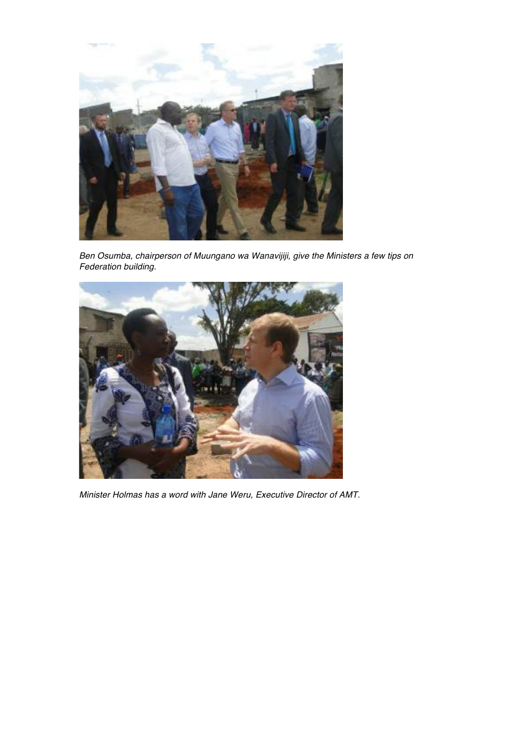

*Ben Osumba, chairperson of Muungano wa Wanavijiji, give the Ministers a few tips on Federation building.* 



*Minister Holmas has a word with Jane Weru, Executive Director of AMT.*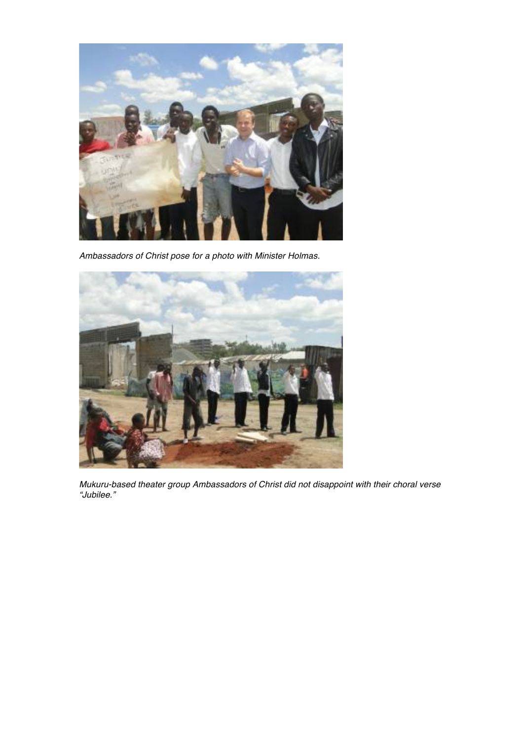

*Ambassadors of Christ pose for a photo with Minister Holmas.* 



*Mukuru-based theater group Ambassadors of Christ did not disappoint with their choral verse "Jubilee."*